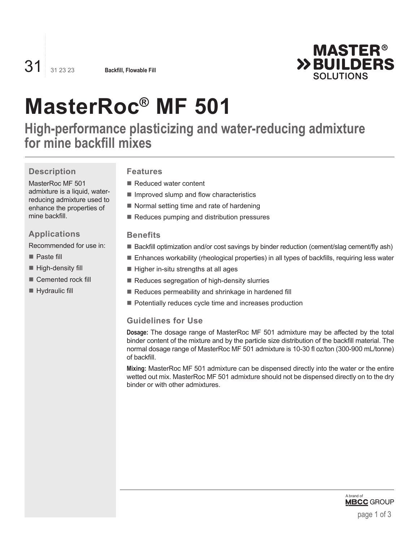

# **MasterRoc® MF 501**

**High-performance plasticizing and water-reducing admixture for mine backfill mixes**

# **Description**

#### MasterRoc MF 501 admixture is a liquid, waterreducing admixture used to enhance the properties of mine backfill.

# **Applications**

Recommended for use in:

- Paste fill
- $\blacksquare$  High-density fill
- Cemented rock fill
- **Hydraulic fill**

## **Features**

- Reduced water content
- $\blacksquare$  Improved slump and flow characteristics
- $\blacksquare$  Normal setting time and rate of hardening
- Reduces pumping and distribution pressures

#### **Benefits**

- Backfill optimization and/or cost savings by binder reduction (cement/slag cement/fly ash)
- Enhances workability (rheological properties) in all types of backfills, requiring less water
- $\blacksquare$  Higher in-situ strengths at all ages
- Reduces segregation of high-density slurries
- Reduces permeability and shrinkage in hardened fill
- **Potentially reduces cycle time and increases production**

#### **Guidelines for Use**

**Dosage:** The dosage range of MasterRoc MF 501 admixture may be affected by the total binder content of the mixture and by the particle size distribution of the backfill material. The normal dosage range of MasterRoc MF 501 admixture is 10-30 fl oz/ton (300-900 mL/tonne) of backfill.

**Mixing:** MasterRoc MF 501 admixture can be dispensed directly into the water or the entire wetted out mix. MasterRoc MF 501 admixture should not be dispensed directly on to the dry binder or with other admixtures.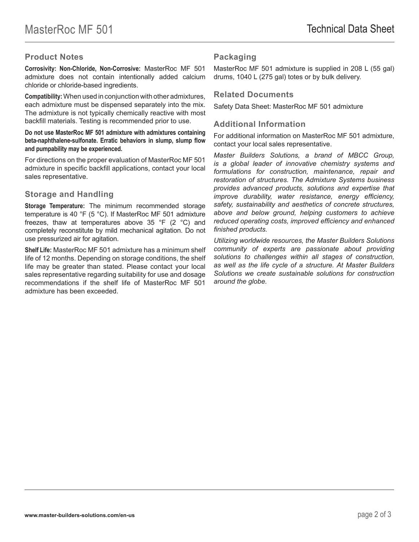## **Product Notes**

**Corrosivity: Non-Chloride, Non-Corrosive:** MasterRoc MF 501 admixture does not contain intentionally added calcium chloride or chloride-based ingredients.

**Compatibility:** When used in conjunction with other admixtures, each admixture must be dispensed separately into the mix. The admixture is not typically chemically reactive with most backfill materials. Testing is recommended prior to use.

#### **Do not use MasterRoc MF 501 admixture with admixtures containing beta-naphthalene-sulfonate. Erratic behaviors in slump, slump flow and pumpability may be experienced.**

For directions on the proper evaluation of MasterRoc MF 501 admixture in specific backfill applications, contact your local sales representative.

# **Storage and Handling**

**Storage Temperature:** The minimum recommended storage temperature is 40 °F (5 °C). If MasterRoc MF 501 admixture freezes, thaw at temperatures above 35  $\degree$ F (2  $\degree$ C) and completely reconstitute by mild mechanical agitation. Do not use pressurized air for agitation.

**Shelf Life:** MasterRoc MF 501 admixture has a minimum shelf life of 12 months. Depending on storage conditions, the shelf life may be greater than stated. Please contact your local sales representative regarding suitability for use and dosage recommendations if the shelf life of MasterRoc MF 501 admixture has been exceeded.

# **Packaging**

MasterRoc MF 501 admixture is supplied in 208 L (55 gal) drums, 1040 L (275 gal) totes or by bulk delivery.

#### **Related Documents**

Safety Data Sheet: MasterRoc MF 501 admixture

#### **Additional Information**

For additional information on MasterRoc MF 501 admixture, contact your local sales representative.

*Master Builders Solutions, a brand of MBCC Group, is a global leader of innovative chemistry systems and formulations for construction, maintenance, repair and restoration of structures. The Admixture Systems business provides advanced products, solutions and expertise that improve durability, water resistance, energy efficiency, safety, sustainability and aesthetics of concrete structures, above and below ground, helping customers to achieve reduced operating costs, improved efficiency and enhanced finished products.* 

*Utilizing worldwide resources, the Master Builders Solutions community of experts are passionate about providing solutions to challenges within all stages of construction, as well as the life cycle of a structure. At Master Builders Solutions we create sustainable solutions for construction around the globe.*